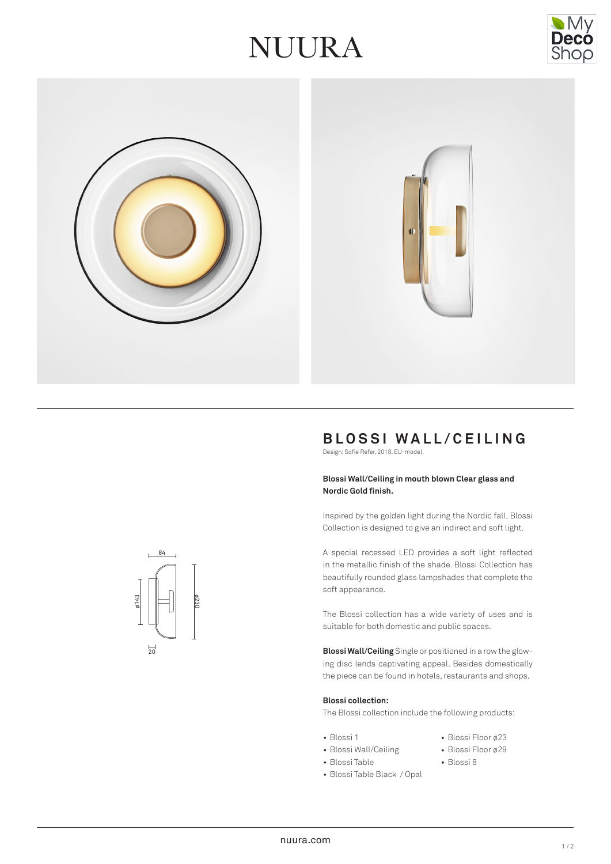# JUURA





# **BLOSSI WALL/CEILING**

Design: Sofie Refer, 2018. EU-model.

#### **Blossi Wall/Ceiling in mouth blown Clear glass and Nordic Gold finish.**

Inspired by the golden light during the Nordic fall, Blossi Collection is designed to give an indirect and soft light.

A special recessed LED provides a soft light reflected in the metallic finish of the shade. Blossi Collection has beautifully rounded glass lampshades that complete the soft appearance.

The Blossi collection has a wide variety of uses and is suitable for both domestic and public spaces.

**Blossi Wall/Ceiling** Single or positioned in a row the glowing disc lends captivating appeal. Besides domestically the piece can be found in hotels, restaurants and shops.

#### **Blossi collection:**

The Blossi collection include the following products:

- Blossi 1 Blossi Floor ø23
- Blossi Wall/Ceiling Blossi Floor ø29
- 
- Blossi Table Blossi 8
- Blossi Table Black / Opal
- 
- 

ø230 84 ø143  $\frac{1}{20}$